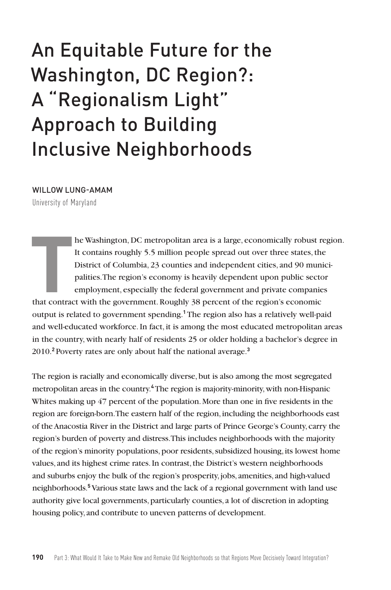# An Equitable Future for the Washington, DC Region?: A "Regionalism Light" Approach to Building Inclusive Neighborhoods

#### WILLOW LUNG-AMAM

University of Maryland

**T**<br>that contract he Washington, DC metropolitan area is a large, economically robust region. It contains roughly 5.5 million people spread out over three states, the District of Columbia, 23 counties and independent cities, and 90 municipalities. The region's economy is heavily dependent upon public sector employment, especially the federal government and private companies that contract with the government. Roughly 38 percent of the region's economic output is related to government spending.**<sup>1</sup>** The region also has a relatively well-paid and well-educated workforce. In fact, it is among the most educated metropolitan areas in the country, with nearly half of residents 25 or older holding a bachelor's degree in 2010.**<sup>2</sup>** Poverty rates are only about half the national average.**<sup>3</sup>**

The region is racially and economically diverse, but is also among the most segregated metropolitan areas in the country.**<sup>4</sup>** The region is majority-minority, with non-Hispanic Whites making up 47 percent of the population. More than one in five residents in the region are foreign-born. The eastern half of the region, including the neighborhoods east of the Anacostia River in the District and large parts of Prince George's County, carry the region's burden of poverty and distress. This includes neighborhoods with the majority of the region's minority populations, poor residents, subsidized housing, its lowest home values, and its highest crime rates. In contrast, the District's western neighborhoods and suburbs enjoy the bulk of the region's prosperity, jobs, amenities, and high-valued neighborhoods.**<sup>5</sup>** Various state laws and the lack of a regional government with land use authority give local governments, particularly counties, a lot of discretion in adopting housing policy, and contribute to uneven patterns of development.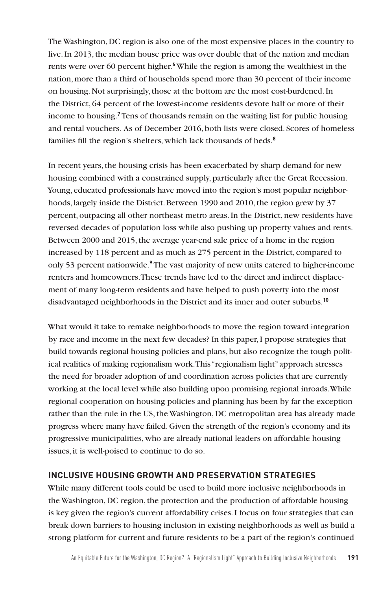The Washington, DC region is also one of the most expensive places in the country to live. In 2013, the median house price was over double that of the nation and median rents were over 60 percent higher.**<sup>6</sup>** While the region is among the wealthiest in the nation, more than a third of households spend more than 30 percent of their income on housing. Not surprisingly, those at the bottom are the most cost-burdened. In the District, 64 percent of the lowest-income residents devote half or more of their income to housing.**<sup>7</sup>** Tens of thousands remain on the waiting list for public housing and rental vouchers. As of December 2016, both lists were closed. Scores of homeless families fill the region's shelters, which lack thousands of beds.**<sup>8</sup>**

In recent years, the housing crisis has been exacerbated by sharp demand for new housing combined with a constrained supply, particularly after the Great Recession. Young, educated professionals have moved into the region's most popular neighborhoods, largely inside the District. Between 1990 and 2010, the region grew by 37 percent, outpacing all other northeast metro areas. In the District, new residents have reversed decades of population loss while also pushing up property values and rents. Between 2000 and 2015, the average year-end sale price of a home in the region increased by 118 percent and as much as 275 percent in the District, compared to only 53 percent nationwide.**<sup>9</sup>** The vast majority of new units catered to higher-income renters and homeowners. These trends have led to the direct and indirect displacement of many long-term residents and have helped to push poverty into the most disadvantaged neighborhoods in the District and its inner and outer suburbs.**<sup>10</sup>**

What would it take to remake neighborhoods to move the region toward integration by race and income in the next few decades? In this paper, I propose strategies that build towards regional housing policies and plans, but also recognize the tough political realities of making regionalism work. This "regionalism light" approach stresses the need for broader adoption of and coordination across policies that are currently working at the local level while also building upon promising regional inroads. While regional cooperation on housing policies and planning has been by far the exception rather than the rule in the US, the Washington, DC metropolitan area has already made progress where many have failed. Given the strength of the region's economy and its progressive municipalities, who are already national leaders on affordable housing issues, it is well-poised to continue to do so.

## **INCLUSIVE HOUSING GROWTH AND PRESERVATION STRATEGIES**

While many different tools could be used to build more inclusive neighborhoods in the Washington, DC region, the protection and the production of affordable housing is key given the region's current affordability crises. I focus on four strategies that can break down barriers to housing inclusion in existing neighborhoods as well as build a strong platform for current and future residents to be a part of the region's continued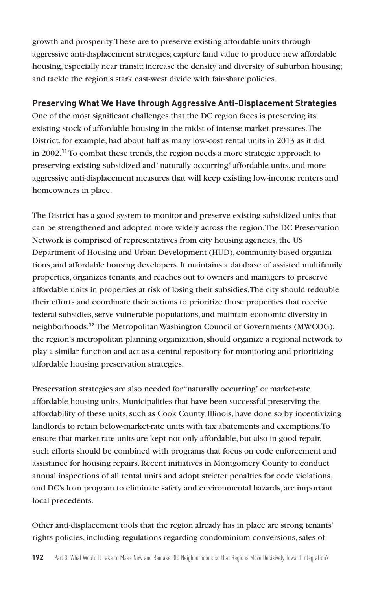growth and prosperity. These are to preserve existing affordable units through aggressive anti-displacement strategies; capture land value to produce new affordable housing, especially near transit; increase the density and diversity of suburban housing; and tackle the region's stark east-west divide with fair-share policies.

## **Preserving What We Have through Aggressive Anti-Displacement Strategies**

One of the most significant challenges that the DC region faces is preserving its existing stock of affordable housing in the midst of intense market pressures. The District, for example, had about half as many low-cost rental units in 2013 as it did in 2002.**<sup>11</sup>** To combat these trends, the region needs a more strategic approach to preserving existing subsidized and "naturally occurring" affordable units, and more aggressive anti-displacement measures that will keep existing low-income renters and homeowners in place.

The District has a good system to monitor and preserve existing subsidized units that can be strengthened and adopted more widely across the region. The DC Preservation Network is comprised of representatives from city housing agencies, the US Department of Housing and Urban Development (HUD), community-based organizations, and affordable housing developers. It maintains a database of assisted multifamily properties, organizes tenants, and reaches out to owners and managers to preserve affordable units in properties at risk of losing their subsidies. The city should redouble their efforts and coordinate their actions to prioritize those properties that receive federal subsidies, serve vulnerable populations, and maintain economic diversity in neighborhoods.**<sup>12</sup>** The Metropolitan Washington Council of Governments (MWCOG), the region's metropolitan planning organization, should organize a regional network to play a similar function and act as a central repository for monitoring and prioritizing affordable housing preservation strategies.

Preservation strategies are also needed for "naturally occurring" or market-rate affordable housing units. Municipalities that have been successful preserving the affordability of these units, such as Cook County, Illinois, have done so by incentivizing landlords to retain below-market-rate units with tax abatements and exemptions. To ensure that market-rate units are kept not only affordable, but also in good repair, such efforts should be combined with programs that focus on code enforcement and assistance for housing repairs. Recent initiatives in Montgomery County to conduct annual inspections of all rental units and adopt stricter penalties for code violations, and DC's loan program to eliminate safety and environmental hazards, are important local precedents.

Other anti-displacement tools that the region already has in place are strong tenants' rights policies, including regulations regarding condominium conversions, sales of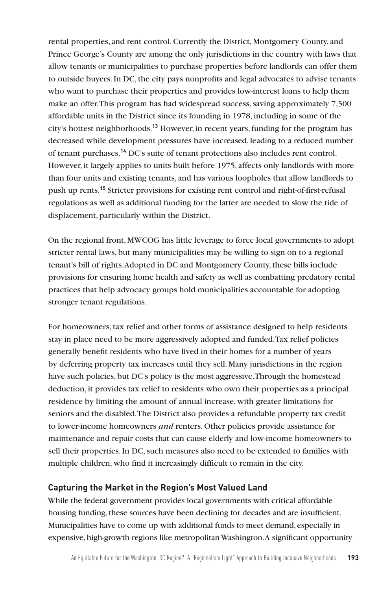rental properties, and rent control. Currently the District, Montgomery County, and Prince George's County are among the only jurisdictions in the country with laws that allow tenants or municipalities to purchase properties before landlords can offer them to outside buyers. In DC, the city pays nonprofits and legal advocates to advise tenants who want to purchase their properties and provides low-interest loans to help them make an offer. This program has had widespread success, saving approximately 7,500 affordable units in the District since its founding in 1978, including in some of the city's hottest neighborhoods.**<sup>13</sup>** However, in recent years, funding for the program has decreased while development pressures have increased, leading to a reduced number of tenant purchases.**<sup>14</sup>** DC's suite of tenant protections also includes rent control. However, it largely applies to units built before 1975, affects only landlords with more than four units and existing tenants, and has various loopholes that allow landlords to push up rents.**<sup>15</sup>** Stricter provisions for existing rent control and right-of-first-refusal regulations as well as additional funding for the latter are needed to slow the tide of displacement, particularly within the District.

On the regional front, MWCOG has little leverage to force local governments to adopt stricter rental laws, but many municipalities may be willing to sign on to a regional tenant's bill of rights. Adopted in DC and Montgomery County, these bills include provisions for ensuring home health and safety as well as combatting predatory rental practices that help advocacy groups hold municipalities accountable for adopting stronger tenant regulations.

For homeowners, tax relief and other forms of assistance designed to help residents stay in place need to be more aggressively adopted and funded. Tax relief policies generally benefit residents who have lived in their homes for a number of years by deferring property tax increases until they sell. Many jurisdictions in the region have such policies, but DC's policy is the most aggressive. Through the homestead deduction, it provides tax relief to residents who own their properties as a principal residence by limiting the amount of annual increase, with greater limitations for seniors and the disabled. The District also provides a refundable property tax credit to lower-income homeowners *and* renters. Other policies provide assistance for maintenance and repair costs that can cause elderly and low-income homeowners to sell their properties. In DC, such measures also need to be extended to families with multiple children, who find it increasingly difficult to remain in the city.

## **Capturing the Market in the Region's Most Valued Land**

While the federal government provides local governments with critical affordable housing funding, these sources have been declining for decades and are insufficient. Municipalities have to come up with additional funds to meet demand, especially in expensive, high-growth regions like metropolitan Washington. A significant opportunity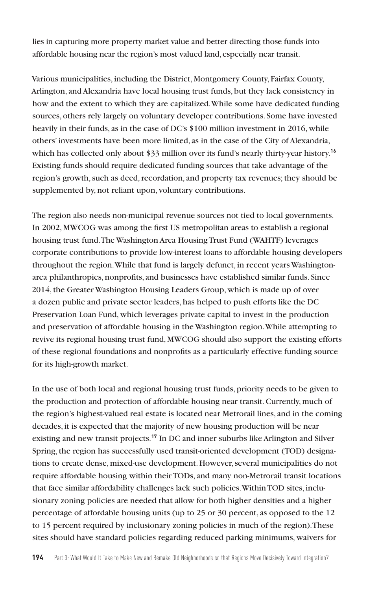lies in capturing more property market value and better directing those funds into affordable housing near the region's most valued land, especially near transit.

Various municipalities, including the District, Montgomery County, Fairfax County, Arlington, and Alexandria have local housing trust funds, but they lack consistency in how and the extent to which they are capitalized. While some have dedicated funding sources, others rely largely on voluntary developer contributions. Some have invested heavily in their funds, as in the case of DC's \$100 million investment in 2016, while others' investments have been more limited, as in the case of the City of Alexandria, which has collected only about \$33 million over its fund's nearly thirty-year history.<sup>16</sup> Existing funds should require dedicated funding sources that take advantage of the region's growth, such as deed, recordation, and property tax revenues; they should be supplemented by, not reliant upon, voluntary contributions.

The region also needs non-municipal revenue sources not tied to local governments. In 2002, MWCOG was among the first US metropolitan areas to establish a regional housing trust fund. The Washington Area Housing Trust Fund (WAHTF) leverages corporate contributions to provide low-interest loans to affordable housing developers throughout the region. While that fund is largely defunct, in recent years Washingtonarea philanthropies, nonprofits, and businesses have established similar funds. Since 2014, the Greater Washington Housing Leaders Group, which is made up of over a dozen public and private sector leaders, has helped to push efforts like the DC Preservation Loan Fund, which leverages private capital to invest in the production and preservation of affordable housing in the Washington region. While attempting to revive its regional housing trust fund, MWCOG should also support the existing efforts of these regional foundations and nonprofits as a particularly effective funding source for its high-growth market.

In the use of both local and regional housing trust funds, priority needs to be given to the production and protection of affordable housing near transit. Currently, much of the region's highest-valued real estate is located near Metrorail lines, and in the coming decades, it is expected that the majority of new housing production will be near existing and new transit projects.**<sup>17</sup>** In DC and inner suburbs like Arlington and Silver Spring, the region has successfully used transit-oriented development (TOD) designations to create dense, mixed-use development. However, several municipalities do not require affordable housing within their TODs, and many non-Metrorail transit locations that face similar affordability challenges lack such policies. Within TOD sites, inclusionary zoning policies are needed that allow for both higher densities and a higher percentage of affordable housing units (up to 25 or 30 percent, as opposed to the 12 to 15 percent required by inclusionary zoning policies in much of the region). These sites should have standard policies regarding reduced parking minimums, waivers for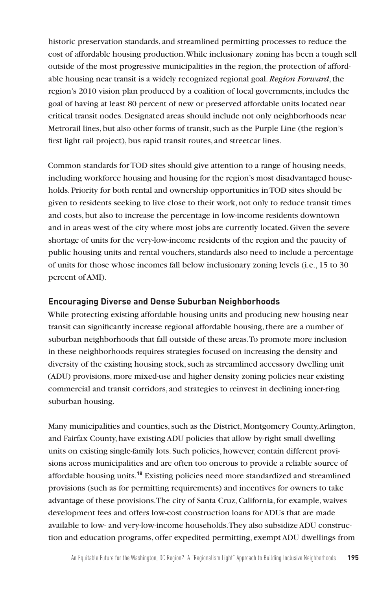historic preservation standards, and streamlined permitting processes to reduce the cost of affordable housing production. While inclusionary zoning has been a tough sell outside of the most progressive municipalities in the region, the protection of affordable housing near transit is a widely recognized regional goal. *Region Forward*, the region's 2010 vision plan produced by a coalition of local governments, includes the goal of having at least 80 percent of new or preserved affordable units located near critical transit nodes. Designated areas should include not only neighborhoods near Metrorail lines, but also other forms of transit, such as the Purple Line (the region's first light rail project), bus rapid transit routes, and streetcar lines.

Common standards for TOD sites should give attention to a range of housing needs, including workforce housing and housing for the region's most disadvantaged households. Priority for both rental and ownership opportunities in TOD sites should be given to residents seeking to live close to their work, not only to reduce transit times and costs, but also to increase the percentage in low-income residents downtown and in areas west of the city where most jobs are currently located. Given the severe shortage of units for the very-low-income residents of the region and the paucity of public housing units and rental vouchers, standards also need to include a percentage of units for those whose incomes fall below inclusionary zoning levels (i.e., 15 to 30 percent of AMI).

#### **Encouraging Diverse and Dense Suburban Neighborhoods**

While protecting existing affordable housing units and producing new housing near transit can significantly increase regional affordable housing, there are a number of suburban neighborhoods that fall outside of these areas. To promote more inclusion in these neighborhoods requires strategies focused on increasing the density and diversity of the existing housing stock, such as streamlined accessory dwelling unit (ADU) provisions, more mixed-use and higher density zoning policies near existing commercial and transit corridors, and strategies to reinvest in declining inner-ring suburban housing.

Many municipalities and counties, such as the District, Montgomery County, Arlington, and Fairfax County, have existing ADU policies that allow by-right small dwelling units on existing single-family lots. Such policies, however, contain different provisions across municipalities and are often too onerous to provide a reliable source of affordable housing units.**<sup>18</sup>** Existing policies need more standardized and streamlined provisions (such as for permitting requirements) and incentives for owners to take advantage of these provisions. The city of Santa Cruz, California, for example, waives development fees and offers low-cost construction loans for ADUs that are made available to low- and very-low-income households. They also subsidize ADU construction and education programs, offer expedited permitting, exempt ADU dwellings from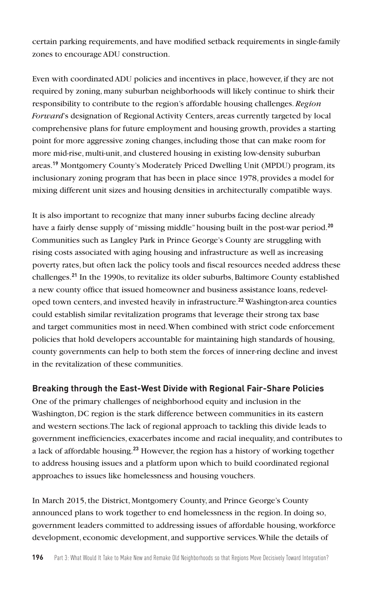certain parking requirements, and have modified setback requirements in single-family zones to encourage ADU construction.

Even with coordinated ADU policies and incentives in place, however, if they are not required by zoning, many suburban neighborhoods will likely continue to shirk their responsibility to contribute to the region's affordable housing challenges. *Region Forward*'s designation of Regional Activity Centers, areas currently targeted by local comprehensive plans for future employment and housing growth, provides a starting point for more aggressive zoning changes, including those that can make room for more mid-rise, multi-unit, and clustered housing in existing low-density suburban areas.**<sup>19</sup>** Montgomery County's Moderately Priced Dwelling Unit (MPDU) program, its inclusionary zoning program that has been in place since 1978, provides a model for mixing different unit sizes and housing densities in architecturally compatible ways.

It is also important to recognize that many inner suburbs facing decline already have a fairly dense supply of "missing middle" housing built in the post-war period.**<sup>20</sup>** Communities such as Langley Park in Prince George's County are struggling with rising costs associated with aging housing and infrastructure as well as increasing poverty rates, but often lack the policy tools and fiscal resources needed address these challenges.**<sup>21</sup>** In the 1990s, to revitalize its older suburbs, Baltimore County established a new county office that issued homeowner and business assistance loans, redeveloped town centers, and invested heavily in infrastructure.**<sup>22</sup>** Washington-area counties could establish similar revitalization programs that leverage their strong tax base and target communities most in need. When combined with strict code enforcement policies that hold developers accountable for maintaining high standards of housing, county governments can help to both stem the forces of inner-ring decline and invest in the revitalization of these communities.

## **Breaking through the East-West Divide with Regional Fair-Share Policies**

One of the primary challenges of neighborhood equity and inclusion in the Washington, DC region is the stark difference between communities in its eastern and western sections. The lack of regional approach to tackling this divide leads to government inefficiencies, exacerbates income and racial inequality, and contributes to a lack of affordable housing.**<sup>23</sup>** However, the region has a history of working together to address housing issues and a platform upon which to build coordinated regional approaches to issues like homelessness and housing vouchers.

In March 2015, the District, Montgomery County, and Prince George's County announced plans to work together to end homelessness in the region. In doing so, government leaders committed to addressing issues of affordable housing, workforce development, economic development, and supportive services. While the details of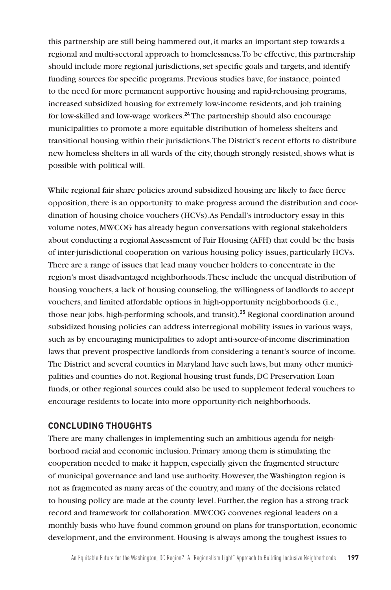this partnership are still being hammered out, it marks an important step towards a regional and multi-sectoral approach to homelessness. To be effective, this partnership should include more regional jurisdictions, set specific goals and targets, and identify funding sources for specific programs. Previous studies have, for instance, pointed to the need for more permanent supportive housing and rapid-rehousing programs, increased subsidized housing for extremely low-income residents, and job training for low-skilled and low-wage workers.**<sup>24</sup>** The partnership should also encourage municipalities to promote a more equitable distribution of homeless shelters and transitional housing within their jurisdictions. The District's recent efforts to distribute new homeless shelters in all wards of the city, though strongly resisted, shows what is possible with political will.

While regional fair share policies around subsidized housing are likely to face fierce opposition, there is an opportunity to make progress around the distribution and coordination of housing choice vouchers (HCVs). As Pendall's introductory essay in this volume notes, MWCOG has already begun conversations with regional stakeholders about conducting a regional Assessment of Fair Housing (AFH) that could be the basis of inter-jurisdictional cooperation on various housing policy issues, particularly HCVs. There are a range of issues that lead many voucher holders to concentrate in the region's most disadvantaged neighborhoods. These include the unequal distribution of housing vouchers, a lack of housing counseling, the willingness of landlords to accept vouchers, and limited affordable options in high-opportunity neighborhoods (i.e., those near jobs, high-performing schools, and transit).**<sup>25</sup>** Regional coordination around subsidized housing policies can address interregional mobility issues in various ways, such as by encouraging municipalities to adopt anti-source-of-income discrimination laws that prevent prospective landlords from considering a tenant's source of income. The District and several counties in Maryland have such laws, but many other municipalities and counties do not. Regional housing trust funds, DC Preservation Loan funds, or other regional sources could also be used to supplement federal vouchers to encourage residents to locate into more opportunity-rich neighborhoods.

#### **CONCLUDING THOUGHTS**

There are many challenges in implementing such an ambitious agenda for neighborhood racial and economic inclusion. Primary among them is stimulating the cooperation needed to make it happen, especially given the fragmented structure of municipal governance and land use authority. However, the Washington region is not as fragmented as many areas of the country, and many of the decisions related to housing policy are made at the county level. Further, the region has a strong track record and framework for collaboration. MWCOG convenes regional leaders on a monthly basis who have found common ground on plans for transportation, economic development, and the environment. Housing is always among the toughest issues to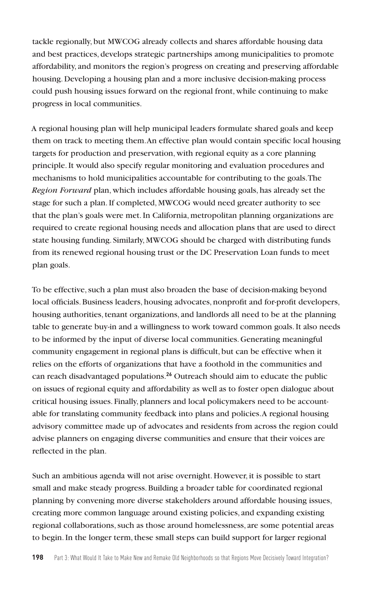tackle regionally, but MWCOG already collects and shares affordable housing data and best practices, develops strategic partnerships among municipalities to promote affordability, and monitors the region's progress on creating and preserving affordable housing. Developing a housing plan and a more inclusive decision-making process could push housing issues forward on the regional front, while continuing to make progress in local communities.

A regional housing plan will help municipal leaders formulate shared goals and keep them on track to meeting them. An effective plan would contain specific local housing targets for production and preservation, with regional equity as a core planning principle. It would also specify regular monitoring and evaluation procedures and mechanisms to hold municipalities accountable for contributing to the goals. The *Region Forward* plan, which includes affordable housing goals, has already set the stage for such a plan. If completed, MWCOG would need greater authority to see that the plan's goals were met. In California, metropolitan planning organizations are required to create regional housing needs and allocation plans that are used to direct state housing funding. Similarly, MWCOG should be charged with distributing funds from its renewed regional housing trust or the DC Preservation Loan funds to meet plan goals.

To be effective, such a plan must also broaden the base of decision-making beyond local officials. Business leaders, housing advocates, nonprofit and for-profit developers, housing authorities, tenant organizations, and landlords all need to be at the planning table to generate buy-in and a willingness to work toward common goals. It also needs to be informed by the input of diverse local communities. Generating meaningful community engagement in regional plans is difficult, but can be effective when it relies on the efforts of organizations that have a foothold in the communities and can reach disadvantaged populations.**<sup>26</sup>** Outreach should aim to educate the public on issues of regional equity and affordability as well as to foster open dialogue about critical housing issues. Finally, planners and local policymakers need to be accountable for translating community feedback into plans and policies. A regional housing advisory committee made up of advocates and residents from across the region could advise planners on engaging diverse communities and ensure that their voices are reflected in the plan.

Such an ambitious agenda will not arise overnight. However, it is possible to start small and make steady progress. Building a broader table for coordinated regional planning by convening more diverse stakeholders around affordable housing issues, creating more common language around existing policies, and expanding existing regional collaborations, such as those around homelessness, are some potential areas to begin. In the longer term, these small steps can build support for larger regional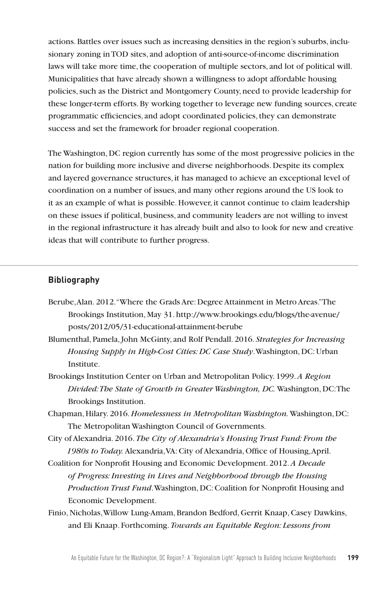actions. Battles over issues such as increasing densities in the region's suburbs, inclusionary zoning in TOD sites, and adoption of anti-source-of-income discrimination laws will take more time, the cooperation of multiple sectors, and lot of political will. Municipalities that have already shown a willingness to adopt affordable housing policies, such as the District and Montgomery County, need to provide leadership for these longer-term efforts. By working together to leverage new funding sources, create programmatic efficiencies, and adopt coordinated policies, they can demonstrate success and set the framework for broader regional cooperation.

The Washington, DC region currently has some of the most progressive policies in the nation for building more inclusive and diverse neighborhoods. Despite its complex and layered governance structures, it has managed to achieve an exceptional level of coordination on a number of issues, and many other regions around the US look to it as an example of what is possible. However, it cannot continue to claim leadership on these issues if political, business, and community leaders are not willing to invest in the regional infrastructure it has already built and also to look for new and creative ideas that will contribute to further progress.

### **Bibliography**

- Berube, Alan. 2012. "Where the Grads Are: Degree Attainment in Metro Areas." The Brookings Institution, May 31. http://www.brookings.edu/blogs/the-avenue/ posts/2012/05/31-educational-attainment-berube
- Blumenthal, Pamela, John McGinty, and Rolf Pendall. 2016. *Strategies for Increasing Housing Supply in High-Cost Cities: DC Case Study*. Washington, DC: Urban Institute.
- Brookings Institution Center on Urban and Metropolitan Policy. 1999. *A Region Divided: The State of Growth in Greater Washington, DC.* Washington, DC: The Brookings Institution.
- Chapman, Hilary. 2016. *Homelessness in Metropolitan Washington.* Washington, DC: The Metropolitan Washington Council of Governments.
- City of Alexandria. 2016. *The City of Alexandria's Housing Trust Fund: From the 1980s to Today.* Alexandria, VA: City of Alexandria, Office of Housing, April.
- Coalition for Nonprofit Housing and Economic Development. 2012. *A Decade of Progress: Investing in Lives and Neighborhood through the Housing Production Trust Fund*. Washington, DC: Coalition for Nonprofit Housing and Economic Development.
- Finio, Nicholas, Willow Lung-Amam, Brandon Bedford, Gerrit Knaap, Casey Dawkins, and Eli Knaap. Forthcoming. *Towards an Equitable Region: Lessons from*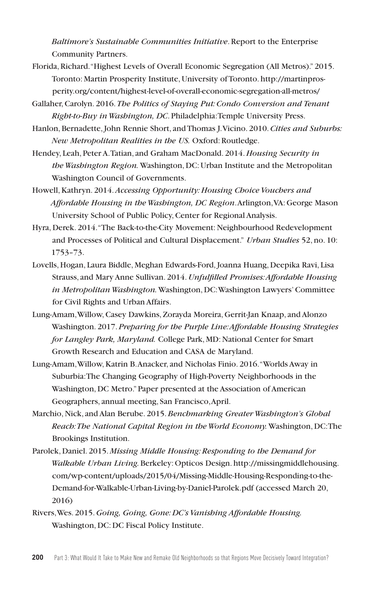*Baltimore's Sustainable Communities Initiative*. Report to the Enterprise Community Partners.

- Florida, Richard. "Highest Levels of Overall Economic Segregation (All Metros)." 2015. Toronto: Martin Prosperity Institute, University of Toronto. http://martinprosperity.org/content/highest-level-of-overall-economic-segregation-all-metros/
- Gallaher, Carolyn. 2016. *The Politics of Staying Put: Condo Conversion and Tenant Right-to-Buy in Washington, DC*. Philadelphia: Temple University Press.
- Hanlon, Bernadette, John Rennie Short, and Thomas J. Vicino. 2010.*Cities and Suburbs: New Metropolitan Realities in the US.* Oxford: Routledge.
- Hendey, Leah, Peter A. Tatian, and Graham MacDonald. 2014. *Housing Security in the Washington Region.* Washington, DC: Urban Institute and the Metropolitan Washington Council of Governments.
- Howell, Kathryn. 2014. *Accessing Opportunity: Housing Choice Vouchers and Affordable Housing in the Washington, DC Region*. Arlington, VA: George Mason University School of Public Policy, Center for Regional Analysis.
- Hyra, Derek. 2014. "The Back-to-the-City Movement: Neighbourhood Redevelopment and Processes of Political and Cultural Displacement." *Urban Studies* 52, no. 10: 1753–73.
- Lovells, Hogan, Laura Biddle, Meghan Edwards-Ford, Joanna Huang, Deepika Ravi, Lisa Strauss, and Mary Anne Sullivan. 2014. *Unfulfilled Promises: Affordable Housing in Metropolitan Washington.* Washington, DC: Washington Lawyers' Committee for Civil Rights and Urban Affairs.
- Lung-Amam, Willow, Casey Dawkins, Zorayda Moreira, Gerrit-Jan Knaap, and Alonzo Washington. 2017.*Preparing for the Purple Line: Affordable Housing Strategies for Langley Park, Maryland.* College Park, MD: National Center for Smart Growth Research and Education and CASA de Maryland.
- Lung-Amam, Willow, Katrin B. Anacker, and Nicholas Finio. 2016. "Worlds Away in Suburbia: The Changing Geography of High-Poverty Neighborhoods in the Washington, DC Metro." Paper presented at the Association of American Geographers, annual meeting, San Francisco, April.
- Marchio, Nick, and Alan Berube. 2015. *Benchmarking Greater Washington's Global Reach: The National Capital Region in the World Economy.* Washington, DC: The Brookings Institution.
- Parolek, Daniel. 2015. *Missing Middle Housing: Responding to the Demand for Walkable Urban Living.* Berkeley: Opticos Design. http://missingmiddlehousing. com/wp-content/uploads/2015/04/Missing-Middle-Housing-Responding-to-the-Demand-for-Walkable-Urban-Living-by-Daniel-Parolek.pdf (accessed March 20, 2016)
- Rivers, Wes. 2015. *Going, Going, Gone: DC's Vanishing Affordable Housing.*  Washington, DC: DC Fiscal Policy Institute.